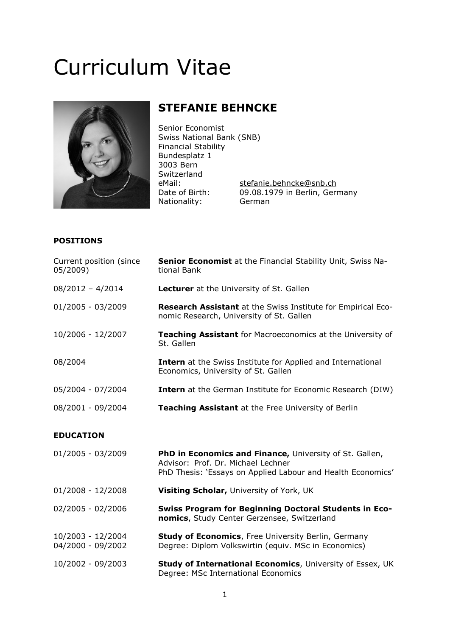# Curriculum Vitae



# STEFANIE BEHNCKE

Senior Economist Swiss National Bank (SNB) Financial Stability Bundesplatz 1 3003 Bern Switzerland<br>eMail: Nationality: German

stefanie.behncke@snb.ch Date of Birth: 09.08.1979 in Berlin, Germany

# POSITIONS

| Current position (since<br>05/2009)    | <b>Senior Economist</b> at the Financial Stability Unit, Swiss Na-<br>tional Bank                                                                            |
|----------------------------------------|--------------------------------------------------------------------------------------------------------------------------------------------------------------|
| $08/2012 - 4/2014$                     | <b>Lecturer</b> at the University of St. Gallen                                                                                                              |
| 01/2005 - 03/2009                      | Research Assistant at the Swiss Institute for Empirical Eco-<br>nomic Research, University of St. Gallen                                                     |
| 10/2006 - 12/2007                      | Teaching Assistant for Macroeconomics at the University of<br>St. Gallen                                                                                     |
| 08/2004                                | <b>Intern</b> at the Swiss Institute for Applied and International<br>Economics, University of St. Gallen                                                    |
| 05/2004 - 07/2004                      | <b>Intern</b> at the German Institute for Economic Research (DIW)                                                                                            |
| 08/2001 - 09/2004                      | Teaching Assistant at the Free University of Berlin                                                                                                          |
| <b>EDUCATION</b>                       |                                                                                                                                                              |
| 01/2005 - 03/2009                      | PhD in Economics and Finance, University of St. Gallen,<br>Advisor: Prof. Dr. Michael Lechner<br>PhD Thesis: 'Essays on Applied Labour and Health Economics' |
| $01/2008 - 12/2008$                    | Visiting Scholar, University of York, UK                                                                                                                     |
| 02/2005 - 02/2006                      | <b>Swiss Program for Beginning Doctoral Students in Eco-</b><br>nomics, Study Center Gerzensee, Switzerland                                                  |
| 10/2003 - 12/2004<br>04/2000 - 09/2002 | <b>Study of Economics, Free University Berlin, Germany</b><br>Degree: Diplom Volkswirtin (equiv. MSc in Economics)                                           |
| 10/2002 - 09/2003                      | Study of International Economics, University of Essex, UK<br>Degree: MSc International Economics                                                             |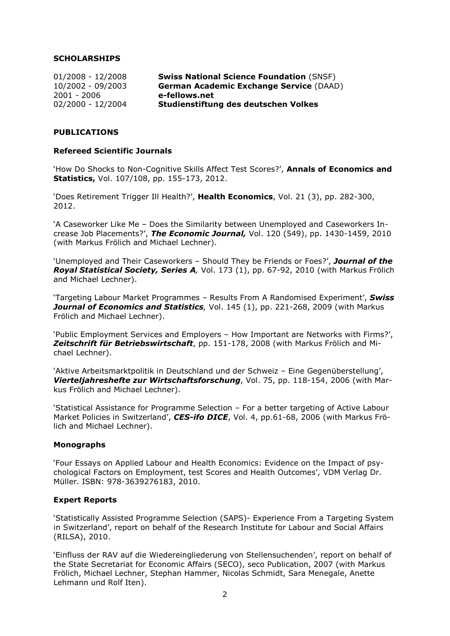# **SCHOLARSHIPS**

| $01/2008 - 12/2008$ | <b>Swiss National Science Foundation (SNSF)</b> |
|---------------------|-------------------------------------------------|
| 10/2002 - 09/2003   | <b>German Academic Exchange Service (DAAD)</b>  |
| 2001 - 2006         | e-fellows.net                                   |
| 02/2000 - 12/2004   | Studienstiftung des deutschen Volkes            |

# PUBLICATIONS

#### Refereed Scientific Journals

'How Do Shocks to Non-Cognitive Skills Affect Test Scores?', Annals of Economics and Statistics, Vol. 107/108, pp. 155-173, 2012.

'Does Retirement Trigger Ill Health?', Health Economics, Vol. 21 (3), pp. 282-300, 2012.

'A Caseworker Like Me – Does the Similarity between Unemployed and Caseworkers Increase Job Placements?', The Economic Journal, Vol. 120 (549), pp. 1430-1459, 2010 (with Markus Frölich and Michael Lechner).

'Unemployed and Their Caseworkers - Should They be Friends or Foes?', Journal of the Royal Statistical Society, Series A, Vol. 173 (1), pp. 67-92, 2010 (with Markus Frölich and Michael Lechner).

'Targeting Labour Market Programmes - Results From A Randomised Experiment', Swiss Journal of Economics and Statistics, Vol. 145 (1), pp. 221-268, 2009 (with Markus Frölich and Michael Lechner).

'Public Employment Services and Employers – How Important are Networks with Firms?', Zeitschrift für Betriebswirtschaft, pp. 151-178, 2008 (with Markus Frölich and Michael Lechner).

'Aktive Arbeitsmarktpolitik in Deutschland und der Schweiz – Eine Gegenüberstellung', Vierteljahreshefte zur Wirtschaftsforschung, Vol. 75, pp. 118-154, 2006 (with Markus Frölich and Michael Lechner).

'Statistical Assistance for Programme Selection – For a better targeting of Active Labour Market Policies in Switzerland', CES-ifo DICE, Vol. 4, pp.61-68, 2006 (with Markus Frölich and Michael Lechner).

#### Monographs

'Four Essays on Applied Labour and Health Economics: Evidence on the Impact of psychological Factors on Employment, test Scores and Health Outcomes', VDM Verlag Dr. Müller. ISBN: 978-3639276183, 2010.

# Expert Reports

'Statistically Assisted Programme Selection (SAPS)- Experience From a Targeting System in Switzerland', report on behalf of the Research Institute for Labour and Social Affairs (RILSA), 2010.

'Einfluss der RAV auf die Wiedereingliederung von Stellensuchenden', report on behalf of the State Secretariat for Economic Affairs (SECO), seco Publication, 2007 (with Markus Frölich, Michael Lechner, Stephan Hammer, Nicolas Schmidt, Sara Menegale, Anette Lehmann und Rolf Iten).